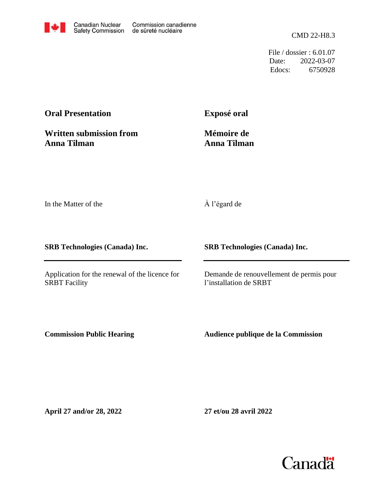CMD 22-H8.3

File / dossier : 6.01.07 Date: 2022-03-07 Edocs: 6750928

# **Oral Presentation**

**Exposé oral**

**Written submission from Anna Tilman**

**Mémoire de Anna Tilman**

In the Matter of the

À l'égard de

**SRB Technologies (Canada) Inc.**

Application for the renewal of the licence for SRBT Facility

**SRB Technologies (Canada) Inc.**

Demande de renouvellement de permis pour l'installation de SRBT

**Commission Public Hearing**

**Audience publique de la Commission**

**April 27 and/or 28, 2022**

**27 et/ou 28 avril 2022**

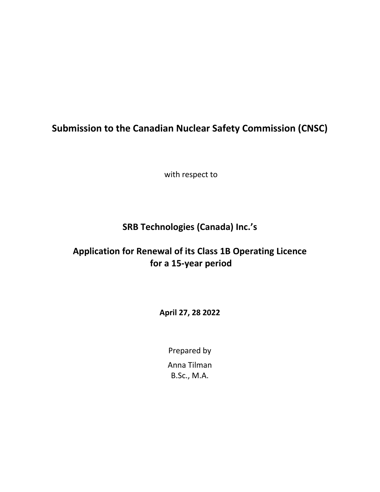# **Submission to the Canadian Nuclear Safety Commission (CNSC)**

with respect to

# **SRB Technologies (Canada) Inc.'s**

# **Application for Renewal of its Class 1B Operating Licence for a 15-year period**

**April 27, 28 2022**

Prepared by Anna Tilman B.Sc., M.A.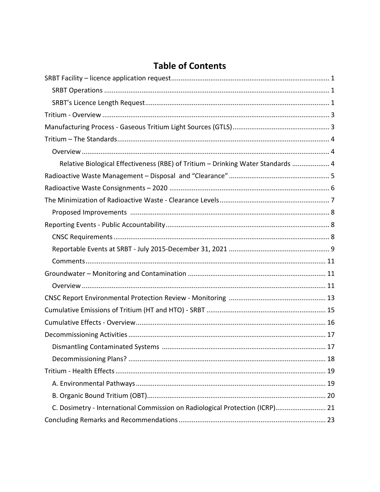# **Table of Contents**

| Relative Biological Effectiveness (RBE) of Tritium - Drinking Water Standards  4 |  |
|----------------------------------------------------------------------------------|--|
|                                                                                  |  |
|                                                                                  |  |
|                                                                                  |  |
|                                                                                  |  |
|                                                                                  |  |
|                                                                                  |  |
|                                                                                  |  |
|                                                                                  |  |
|                                                                                  |  |
|                                                                                  |  |
|                                                                                  |  |
|                                                                                  |  |
|                                                                                  |  |
|                                                                                  |  |
|                                                                                  |  |
|                                                                                  |  |
|                                                                                  |  |
|                                                                                  |  |
|                                                                                  |  |
| C. Dosimetry - International Commission on Radiological Protection (ICRP) 21     |  |
|                                                                                  |  |
|                                                                                  |  |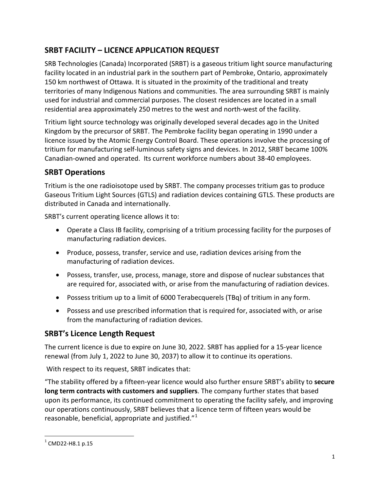# <span id="page-5-0"></span>**SRBT FACILITY – LICENCE APPLICATION REQUEST**

SRB Technologies (Canada) Incorporated (SRBT) is a gaseous tritium light source manufacturing facility located in an industrial park in the southern part of Pembroke, Ontario, approximately 150 km northwest of Ottawa. It is situated in the proximity of the traditional and treaty territories of many Indigenous Nations and communities. The area surrounding SRBT is mainly used for industrial and commercial purposes. The closest residences are located in a small residential area approximately 250 metres to the west and north-west of the facility.

Tritium light source technology was originally developed several decades ago in the United Kingdom by the precursor of SRBT. The Pembroke facility began operating in 1990 under a licence issued by the Atomic Energy Control Board. These operations involve the processing of tritium for manufacturing self-luminous safety signs and devices. In 2012, SRBT became 100% Canadian-owned and operated. Its current workforce numbers about 38-40 employees.

### <span id="page-5-1"></span>**SRBT Operations**

Tritium is the one radioisotope used by SRBT. The company processes tritium gas to produce Gaseous Tritium Light Sources (GTLS) and radiation devices containing GTLS. These products are distributed in Canada and internationally.

SRBT's current operating licence allows it to:

- Operate a Class IB facility, comprising of a tritium processing facility for the purposes of manufacturing radiation devices.
- Produce, possess, transfer, service and use, radiation devices arising from the manufacturing of radiation devices.
- Possess, transfer, use, process, manage, store and dispose of nuclear substances that are required for, associated with, or arise from the manufacturing of radiation devices.
- Possess tritium up to a limit of 6000 Terabecquerels (TBq) of tritium in any form.
- Possess and use prescribed information that is required for, associated with, or arise from the manufacturing of radiation devices.

### <span id="page-5-2"></span>**SRBT's Licence Length Request**

The current licence is due to expire on June 30, 2022. SRBT has applied for a 15-year licence renewal (from July 1, 2022 to June 30, 2037) to allow it to continue its operations.

With respect to its request, SRBT indicates that:

"The stability offered by a fifteen-year licence would also further ensure SRBT's ability to **secure long term contracts with customers and suppliers**. The company further states that based upon its performance, its continued commitment to operating the facility safely, and improving our operations continuously, SRBT believes that a licence term of fifteen years would be reasonable, beneficial, appropriate and justified."<sup>[1](#page-5-3)</sup>

<span id="page-5-3"></span> $^{1}$  CMD22-H8.1 p.15  $\overline{a}$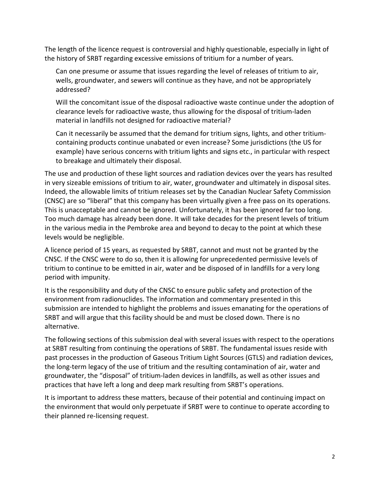The length of the licence request is controversial and highly questionable, especially in light of the history of SRBT regarding excessive emissions of tritium for a number of years.

Can one presume or assume that issues regarding the level of releases of tritium to air, wells, groundwater, and sewers will continue as they have, and not be appropriately addressed?

Will the concomitant issue of the disposal radioactive waste continue under the adoption of clearance levels for radioactive waste, thus allowing for the disposal of tritium-laden material in landfills not designed for radioactive material?

Can it necessarily be assumed that the demand for tritium signs, lights, and other tritiumcontaining products continue unabated or even increase? Some jurisdictions (the US for example) have serious concerns with tritium lights and signs etc., in particular with respect to breakage and ultimately their disposal.

The use and production of these light sources and radiation devices over the years has resulted in very sizeable emissions of tritium to air, water, groundwater and ultimately in disposal sites. Indeed, the allowable limits of tritium releases set by the Canadian Nuclear Safety Commission (CNSC) are so "liberal" that this company has been virtually given a free pass on its operations. This is unacceptable and cannot be ignored. Unfortunately, it has been ignored far too long. Too much damage has already been done. It will take decades for the present levels of tritium in the various media in the Pembroke area and beyond to decay to the point at which these levels would be negligible.

A licence period of 15 years, as requested by SRBT, cannot and must not be granted by the CNSC. If the CNSC were to do so, then it is allowing for unprecedented permissive levels of tritium to continue to be emitted in air, water and be disposed of in landfills for a very long period with impunity.

It is the responsibility and duty of the CNSC to ensure public safety and protection of the environment from radionuclides. The information and commentary presented in this submission are intended to highlight the problems and issues emanating for the operations of SRBT and will argue that this facility should be and must be closed down. There is no alternative.

The following sections of this submission deal with several issues with respect to the operations at SRBT resulting from continuing the operations of SRBT. The fundamental issues reside with past processes in the production of Gaseous Tritium Light Sources (GTLS) and radiation devices, the long-term legacy of the use of tritium and the resulting contamination of air, water and groundwater, the "disposal" of tritium-laden devices in landfills, as well as other issues and practices that have left a long and deep mark resulting from SRBT's operations.

It is important to address these matters, because of their potential and continuing impact on the environment that would only perpetuate if SRBT were to continue to operate according to their planned re-licensing request.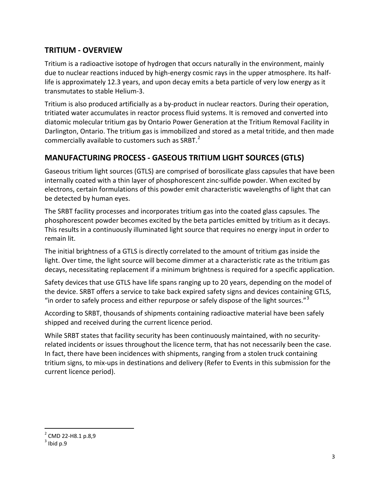### <span id="page-7-0"></span>**TRITIUM - OVERVIEW**

Tritium is a radioactive isotope of hydrogen that occurs naturally in the environment, mainly due to nuclear reactions induced by high-energy cosmic rays in the upper atmosphere. Its halflife is approximately 12.3 years, and upon decay emits a beta particle of very low energy as it transmutates to stable Helium-3.

Tritium is also produced artificially as a by-product in nuclear reactors. During their operation, tritiated water accumulates in reactor process fluid systems. It is removed and converted into diatomic molecular tritium gas by Ontario Power Generation at the Tritium Removal Facility in Darlington, Ontario. The tritium gas is immobilized and stored as a metal tritide, and then made commercially available to customers such as SRBT.<sup>[2](#page-7-2)</sup>

# <span id="page-7-1"></span>**MANUFACTURING PROCESS - GASEOUS TRITIUM LIGHT SOURCES (GTLS)**

Gaseous tritium light sources (GTLS) are comprised of borosilicate glass capsules that have been internally coated with a thin layer of phosphorescent zinc-sulfide powder. When excited by electrons, certain formulations of this powder emit characteristic wavelengths of light that can be detected by human eyes.

The SRBT facility processes and incorporates tritium gas into the coated glass capsules. The phosphorescent powder becomes excited by the beta particles emitted by tritium as it decays. This results in a continuously illuminated light source that requires no energy input in order to remain lit.

The initial brightness of a GTLS is directly correlated to the amount of tritium gas inside the light. Over time, the light source will become dimmer at a characteristic rate as the tritium gas decays, necessitating replacement if a minimum brightness is required for a specific application.

Safety devices that use GTLS have life spans ranging up to 20 years, depending on the model of the device. SRBT offers a service to take back expired safety signs and devices containing GTLS, "in order to safely process and either repurpose or safely dispose of the light sources." $3$ 

According to SRBT, thousands of shipments containing radioactive material have been safely shipped and received during the current licence period.

While SRBT states that facility security has been continuously maintained, with no securityrelated incidents or issues throughout the licence term, that has not necessarily been the case. In fact, there have been incidences with shipments, ranging from a stolen truck containing tritium signs, to mix-ups in destinations and delivery (Refer to Events in this submission for the current licence period).

<span id="page-7-3"></span><span id="page-7-2"></span> $^2$  CMD 22-H8.1 p.8,9<br> $^3$  Ibid p.9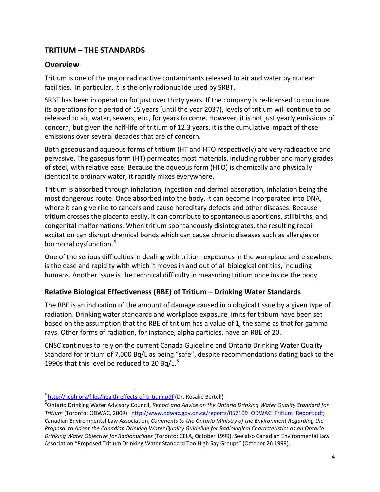# <span id="page-8-0"></span>**TRITIUM – THE STANDARDS**

### <span id="page-8-1"></span>**Overview**

 $\overline{a}$ 

Tritium is one of the major radioactive contaminants released to air and water by nuclear facilities. In particular, it is the only radionuclide used by SRBT.

SRBT has been in operation for just over thirty years. If the company is re-licensed to continue its operations for a period of 15 years (until the year 2037), levels of tritium will continue to be released to air, water, sewers, etc., for years to come. However, it is not just yearly emissions of concern, but given the half-life of tritium of 12.3 years, it is the cumulative impact of these emissions over several decades that are of concern.

Both gaseous and aqueous forms of tritium (HT and HTO respectively) are very radioactive and pervasive. The gaseous form (HT) permeates most materials, including rubber and many grades of steel, with relative ease. Because the aqueous form (HTO) is chemically and physically identical to ordinary water, it rapidly mixes everywhere.

Tritium is absorbed through inhalation, ingestion and dermal absorption, inhalation being the most dangerous route. Once absorbed into the body, it can become incorporated into DNA, where it can give rise to cancers and cause hereditary defects and other diseases. Because tritium crosses the placenta easily, it can contribute to spontaneous abortions, stillbirths, and congenital malformations. When tritium spontaneously disintegrates, the resulting recoil excitation can disrupt chemical bonds which can cause chronic diseases such as allergies or hormonal dysfunction.<sup>[4](#page-8-3)</sup>

One of the serious difficulties in dealing with tritium exposures in the workplace and elsewhere is the ease and rapidity with which it moves in and out of all biological entities, including humans. Another issue is the technical difficulty in measuring tritium once inside the body.

### <span id="page-8-2"></span>**Relative Biological Effectiveness (RBE) of Tritium – Drinking Water Standards**

The RBE is an indication of the amount of damage caused in biological tissue by a given type of radiation. Drinking water standards and workplace exposure limits for tritium have been set based on the assumption that the RBE of tritium has a value of 1, the same as that for gamma rays. Other forms of radiation, for instance, alpha particles, have an RBE of 20.

CNSC continues to rely on the current Canada Guideline and Ontario Drinking Water Quality Standard for tritium of 7,000 Bq/L as being "safe", despite recommendations dating back to the 1990s that this level be reduced to 20 Bq/L.<sup>[5](#page-8-4)</sup>

<span id="page-8-3"></span><sup>&</sup>lt;sup>4</sup> <http://iicph.org/files/health-effects-of-tritium.pdf> (Dr. Rosalie Bertell)

<span id="page-8-4"></span><sup>5</sup> Ontario Drinking Water Advisory Council, *Report and Advice on the Ontario Drinking Water Quality Standard for Tritium* (Toronto: ODWAC, 2009) [http://www.odwac.gov.on.ca/reports/052109\\_ODWAC\\_Tritium\\_Report.pdf;](http://www.odwac.gov.on.ca/reports/052109_ODWAC_Tritium_Report.pdf) Canadian Environmental Law Association, *Comments to the Ontario Ministry of the Environment Regarding the Proposal to Adopt the Canadian Drinking Water Quality Guideline for Radiological Characteristics as an Ontario Drinking Water Objective for Radionuclides* (Toronto: CELA, October 1999). See also Canadian Environmental Law Association "Proposed Tritium Drinking Water Standard Too High Say Groups" (October 26 1999).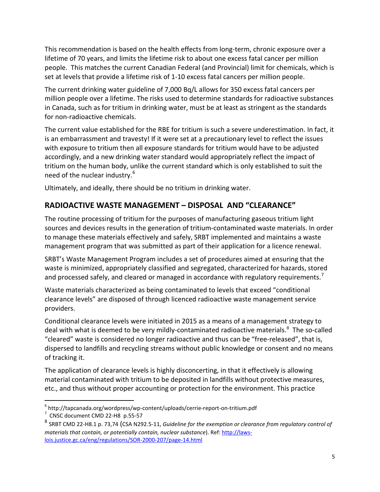This recommendation is based on the health effects from long-term, chronic exposure over a lifetime of 70 years, and limits the lifetime risk to about one excess fatal cancer per million people. This matches the current Canadian Federal (and Provincial) limit for chemicals, which is set at levels that provide a lifetime risk of 1-10 excess fatal cancers per million people.

The current drinking water guideline of 7,000 Bq/L allows for 350 excess fatal cancers per million people over a lifetime. The risks used to determine standards for radioactive substances in Canada, such as for tritium in drinking water, must be at least as stringent as the standards for non-radioactive chemicals.

The current value established for the RBE for tritium is such a severe underestimation. In fact, it is an embarrassment and travesty! If it were set at a precautionary level to reflect the issues with exposure to tritium then all exposure standards for tritium would have to be adjusted accordingly, and a new drinking water standard would appropriately reflect the impact of tritium on the human body, unlike the current standard which is only established to suit the need of the nuclear industry.<sup>[6](#page-9-1)</sup>

Ultimately, and ideally, there should be no tritium in drinking water.

# <span id="page-9-0"></span>**RADIOACTIVE WASTE MANAGEMENT – DISPOSAL AND "CLEARANCE"**

The routine processing of tritium for the purposes of manufacturing gaseous tritium light sources and devices results in the generation of tritium-contaminated waste materials. In order to manage these materials effectively and safely, SRBT implemented and maintains a waste management program that was submitted as part of their application for a licence renewal.

SRBT's Waste Management Program includes a set of procedures aimed at ensuring that the waste is minimized, appropriately classified and segregated, characterized for hazards, stored and processed safely, and cleared or managed in accordance with regulatory requirements.<sup>[7](#page-9-2)</sup>

Waste materials characterized as being contaminated to levels that exceed "conditional clearance levels" are disposed of through licenced radioactive waste management service providers.

Conditional clearance levels were initiated in 2015 as a means of a management strategy to deal with what is deemed to be very mildly-contaminated radioactive materials.<sup>[8](#page-9-3)</sup> The so-called "cleared" waste is considered no longer radioactive and thus can be "free-released", that is, dispersed to landfills and recycling streams without public knowledge or consent and no means of tracking it.

The application of clearance levels is highly disconcerting, in that it effectively is allowing material contaminated with tritium to be deposited in landfills without protective measures, etc., and thus without proper accounting or protection for the environment. This practice

<span id="page-9-1"></span> $^6$  http://tapcanada.org/wordpress/wp-content/uploads/cerrie-report-on-tritium.pdf<br>  $^7$  CNSC document CMD 22-H8 p.55-57

<span id="page-9-2"></span>

<span id="page-9-3"></span><sup>8</sup> SRBT CMD 22-H8.1 p. 73,74 (CSA N292.5-11, *Guideline for the exemption or clearance from regulatory control of materials that contain, or potentially contain, nuclear substance*). Ref[: http://laws](http://laws-lois.justice.gc.ca/eng/regulations/SOR-2000-207/page-14.html)[lois.justice.gc.ca/eng/regulations/SOR-2000-207/page-14.html](http://laws-lois.justice.gc.ca/eng/regulations/SOR-2000-207/page-14.html)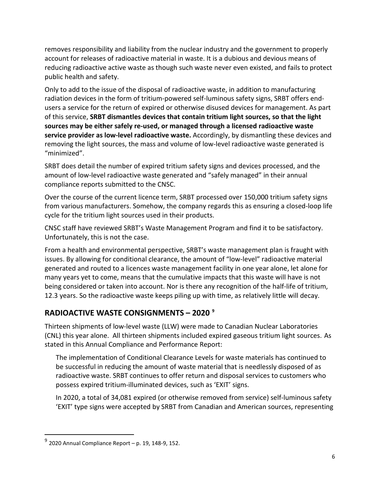removes responsibility and liability from the nuclear industry and the government to properly account for releases of radioactive material in waste. It is a dubious and devious means of reducing radioactive active waste as though such waste never even existed, and fails to protect public health and safety.

Only to add to the issue of the disposal of radioactive waste, in addition to manufacturing radiation devices in the form of tritium-powered self-luminous safety signs, SRBT offers endusers a service for the return of expired or otherwise disused devices for management. As part of this service, **SRBT dismantles devices that contain tritium light sources, so that the light sources may be either safely re-used, or managed through a licensed radioactive waste service provider as low-level radioactive waste.** Accordingly, by dismantling these devices and removing the light sources, the mass and volume of low-level radioactive waste generated is "minimized".

SRBT does detail the number of expired tritium safety signs and devices processed, and the amount of low-level radioactive waste generated and "safely managed" in their annual compliance reports submitted to the CNSC.

Over the course of the current licence term, SRBT processed over 150,000 tritium safety signs from various manufacturers. Somehow, the company regards this as ensuring a closed-loop life cycle for the tritium light sources used in their products.

CNSC staff have reviewed SRBT's Waste Management Program and find it to be satisfactory. Unfortunately, this is not the case.

From a health and environmental perspective, SRBT's waste management plan is fraught with issues. By allowing for conditional clearance, the amount of "low-level" radioactive material generated and routed to a licences waste management facility in one year alone, let alone for many years yet to come, means that the cumulative impacts that this waste will have is not being considered or taken into account. Nor is there any recognition of the half-life of tritium, 12.3 years. So the radioactive waste keeps piling up with time, as relatively little will decay.

# <span id="page-10-0"></span>**RADIOACTIVE WASTE CONSIGNMENTS – 2020 [9](#page-10-1)**

Thirteen shipments of low-level waste (LLW) were made to Canadian Nuclear Laboratories (CNL) this year alone. All thirteen shipments included expired gaseous tritium light sources. As stated in this Annual Compliance and Performance Report:

The implementation of Conditional Clearance Levels for waste materials has continued to be successful in reducing the amount of waste material that is needlessly disposed of as radioactive waste. SRBT continues to offer return and disposal services to customers who possess expired tritium-illuminated devices, such as 'EXIT' signs.

In 2020, a total of 34,081 expired (or otherwise removed from service) self-luminous safety 'EXIT' type signs were accepted by SRBT from Canadian and American sources, representing

<span id="page-10-1"></span> $^{9}$  2020 Annual Compliance Report – p. 19, 148-9, 152.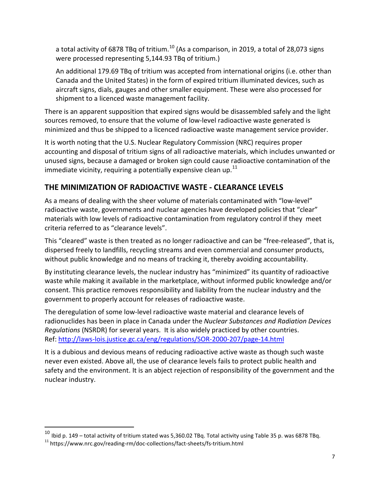a total activity of 6878 TBq of tritium.<sup>[10](#page-11-1)</sup> (As a comparison, in 2019, a total of 28,073 signs were processed representing 5,144.93 TBq of tritium.)

An additional 179.69 TBq of tritium was accepted from international origins (i.e. other than Canada and the United States) in the form of expired tritium illuminated devices, such as aircraft signs, dials, gauges and other smaller equipment. These were also processed for shipment to a licenced waste management facility.

There is an apparent supposition that expired signs would be disassembled safely and the light sources removed, to ensure that the volume of low-level radioactive waste generated is minimized and thus be shipped to a licenced radioactive waste management service provider.

It is worth noting that the U.S. Nuclear Regulatory Commission (NRC) requires proper accounting and disposal of tritium signs of all radioactive materials, which includes unwanted or unused signs, because a damaged or broken sign could cause radioactive contamination of the immediate vicinity, requiring a potentially expensive clean up. $^{11}$ 

# <span id="page-11-0"></span>**THE MINIMIZATION OF RADIOACTIVE WASTE - CLEARANCE LEVELS**

As a means of dealing with the sheer volume of materials contaminated with "low-level" radioactive waste, governments and nuclear agencies have developed policies that "clear" materials with low levels of radioactive contamination from regulatory control if they meet criteria referred to as "clearance levels".

This "cleared" waste is then treated as no longer radioactive and can be "free-released", that is, dispersed freely to landfills, recycling streams and even commercial and consumer products, without public knowledge and no means of tracking it, thereby avoiding accountability.

By instituting clearance levels, the nuclear industry has "minimized" its quantity of radioactive waste while making it available in the marketplace, without informed public knowledge and/or consent. This practice removes responsibility and liability from the nuclear industry and the government to properly account for releases of radioactive waste.

The deregulation of some low-level radioactive waste material and clearance levels of radionuclides has been in place in Canada under the *Nuclear Substances and Radiation Devices Regulations* (NSRDR) for several years. It is also widely practiced by other countries. Ref:<http://laws-lois.justice.gc.ca/eng/regulations/SOR-2000-207/page-14.html>

It is a dubious and devious means of reducing radioactive active waste as though such waste never even existed. Above all, the use of clearance levels fails to protect public health and safety and the environment. It is an abject rejection of responsibility of the government and the nuclear industry.

<span id="page-11-1"></span> $^{10}$  Ibid p. 149 – total activity of tritium stated was 5,360.02 TBq. Total activity using Table 35 p. was 6878 TBq.

<span id="page-11-2"></span> $11$  https://www.nrc.gov/reading-rm/doc-collections/fact-sheets/fs-tritium.html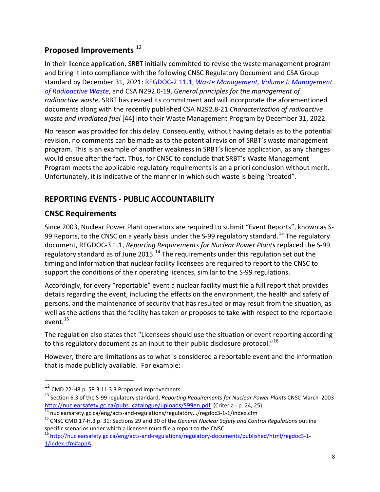# <span id="page-12-0"></span>**Proposed Improvements** [12](#page-12-3)

In their licence application, SRBT initially committed to revise the waste management program and bring it into compliance with the following CNSC Regulatory Document and CSA Group standard by December 31, 2021: REGDOC-2.11.1, *Waste Management, Volume I: Management of Radioactive Waste*, and CSA N292.0-19, *General principles for the management of radioactive waste*. SRBT has revised its commitment and will incorporate the aforementioned documents along with the recently published CSA N292.8-21 *Characterization of radioactive waste and irradiated fuel* [44] into their Waste Management Program by December 31, 2022.

No reason was provided for this delay. Consequently, without having details as to the potential revision, no comments can be made as to the potential revision of SRBT's waste management program. This is an example of another weakness in SRBT's licence application, as any changes would ensue after the fact. Thus, for CNSC to conclude that SRBT's Waste Management Program meets the applicable regulatory requirements is an a priori conclusion without merit. Unfortunately, it is indicative of the manner in which such waste is being "treated".

# <span id="page-12-1"></span>**REPORTING EVENTS - PUBLIC ACCOUNTABILITY**

# <span id="page-12-2"></span>**CNSC Requirements**

Since 2003, Nuclear Power Plant operators are required to submit "Event Reports", known as S-99 Reports, to the CNSC on a yearly basis under the S-99 regulatory standard.<sup>[13](#page-12-4)</sup> The regulatory document, REGDOC-3.1.1, *Reporting Requirements for Nuclear Power Plants* replaced the S-99 regulatory standard as of June 2015.<sup>[14](#page-12-5)</sup> The requirements under this regulation set out the timing and information that nuclear facility licensees are required to report to the CNSC to support the conditions of their operating licences, similar to the S-99 regulations.

Accordingly, for every "reportable" event a nuclear facility must file a full report that provides details regarding the event, including the effects on the environment, the health and safety of persons, and the maintenance of security that has resulted or may result from the situation, as well as the actions that the facility has taken or proposes to take with respect to the reportable event.<sup>[15](#page-12-6)</sup>

The regulation also states that "Licensees should use the situation or event reporting according to this regulatory document as an input to their public disclosure protocol."<sup>[16](#page-12-7)</sup>

However, there are limitations as to what is considered a reportable event and the information that is made publicly available. For example:

<span id="page-12-3"></span><sup>12</sup> CMD 22-H8 p. 58 3.11.3.3 Proposed Improvements

<span id="page-12-4"></span><sup>13</sup> Section 6.3 of the S-99 regulatory standard, *Reporting Requirements for Nuclear Power Plants* CNSC March 2003 [http://nuclearsafety.gc.ca/pubs\\_catalogue/uploads/S99en.pdf](http://nuclearsafety.gc.ca/pubs_catalogue/uploads/S99en.pdf) (Criteria - p. 24, 25)<br>
<sup>14</sup> nuclearsafety.gc.ca/eng/acts-and-regulations/regulatory.../regdoc3-1-1/index.cfm<br>
<sup>15</sup> CNSC CMD 17-H.3 p. 31: Sections 29 and 30 of

<span id="page-12-5"></span>

<span id="page-12-6"></span>specific scenarios under which a licensee must file a report to the CNSC.

<span id="page-12-7"></span><sup>16</sup> [http://nuclearsafety.gc.ca/eng/acts-and-regulations/regulatory-documents/published/html/regdoc3-1-](http://nuclearsafety.gc.ca/eng/acts-and-regulations/regulatory-documents/published/html/regdoc3-1-1/index.cfm%23appA) [1/index.cfm#appA](http://nuclearsafety.gc.ca/eng/acts-and-regulations/regulatory-documents/published/html/regdoc3-1-1/index.cfm%23appA)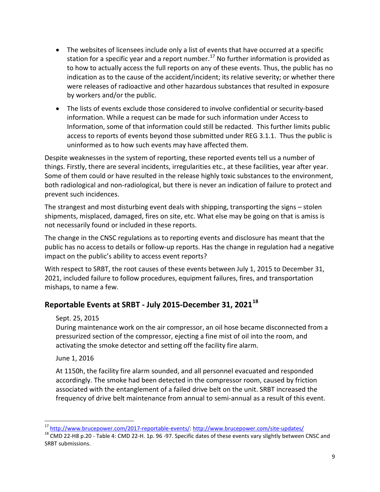- The websites of licensees include only a list of events that have occurred at a specific station for a specific year and a report number.<sup>[17](#page-13-1)</sup> No further information is provided as to how to actually access the full reports on any of these events. Thus, the public has no indication as to the cause of the accident/incident; its relative severity; or whether there were releases of radioactive and other hazardous substances that resulted in exposure by workers and/or the public.
- The lists of events exclude those considered to involve confidential or security-based information. While a request can be made for such information under Access to Information, some of that information could still be redacted. This further limits public access to reports of events beyond those submitted under REG 3.1.1. Thus the public is uninformed as to how such events may have affected them.

Despite weaknesses in the system of reporting, these reported events tell us a number of things. Firstly, there are several incidents, irregularities etc., at these facilities, year after year. Some of them could or have resulted in the release highly toxic substances to the environment, both radiological and non-radiological, but there is never an indication of failure to protect and prevent such incidences.

The strangest and most disturbing event deals with shipping, transporting the signs – stolen shipments, misplaced, damaged, fires on site, etc. What else may be going on that is amiss is not necessarily found or included in these reports.

The change in the CNSC regulations as to reporting events and disclosure has meant that the public has no access to details or follow-up reports. Has the change in regulation had a negative impact on the public's ability to access event reports?

With respect to SRBT, the root causes of these events between July 1, 2015 to December 31, 2021, included failure to follow procedures, equipment failures, fires, and transportation mishaps, to name a few.

# <span id="page-13-0"></span>**Reportable Events at SRBT - July 2015-December 31, 2021[18](#page-13-2)**

#### Sept. 25, 2015

During maintenance work on the air compressor, an oil hose became disconnected from a pressurized section of the compressor, ejecting a fine mist of oil into the room, and activating the smoke detector and setting off the facility fire alarm.

June 1, 2016

At 1150h, the facility fire alarm sounded, and all personnel evacuated and responded accordingly. The smoke had been detected in the compressor room, caused by friction associated with the entanglement of a failed drive belt on the unit. SRBT increased the frequency of drive belt maintenance from annual to semi-annual as a result of this event.

<span id="page-13-1"></span><sup>&</sup>lt;sup>17</sup>http://www.brucepower.com/2017-reportable-events/: http://www.brucepower.com/site-updates/

<span id="page-13-2"></span><sup>&</sup>lt;sup>18</sup> CMD 22-H8 p.20 - Table 4: CMD 22-H. 1p. 96 -97. Specific dates of these events vary slightly between CNSC and SRBT submissions.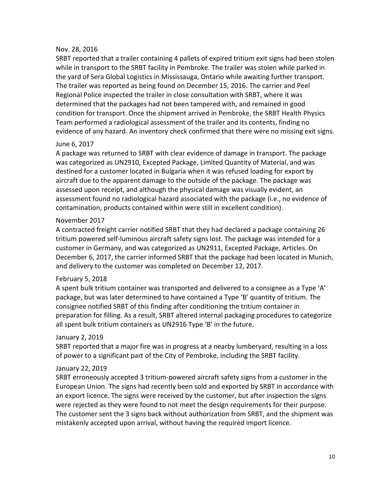#### Nov. 28, 2016

SRBT reported that a trailer containing 4 pallets of expired tritium exit signs had been stolen while in transport to the SRBT facility in Pembroke. The trailer was stolen while parked in the yard of Sera Global Logistics in Mississauga, Ontario while awaiting further transport. The trailer was reported as being found on December 15, 2016. The carrier and Peel Regional Police inspected the trailer in close consultation with SRBT, where it was determined that the packages had not been tampered with, and remained in good condition for transport. Once the shipment arrived in Pembroke, the SRBT Health Physics Team performed a radiological assessment of the trailer and its contents, finding no evidence of any hazard. An inventory check confirmed that there were no missing exit signs.

#### June 6, 2017

A package was returned to SRBT with clear evidence of damage in transport. The package was categorized as UN2910, Excepted Package, Limited Quantity of Material, and was destined for a customer located in Bulgaria when it was refused loading for export by aircraft due to the apparent damage to the outside of the package. The package was assessed upon receipt, and although the physical damage was visually evident, an assessment found no radiological hazard associated with the package (i.e., no evidence of contamination, products contained within were still in excellent condition).

#### November 2017

A contracted freight carrier notified SRBT that they had declared a package containing 26 tritium powered self-luminous aircraft safety signs lost. The package was intended for a customer in Germany, and was categorized as UN2911, Excepted Package, Articles. On December 6, 2017, the carrier informed SRBT that the package had been located in Munich, and delivery to the customer was completed on December 12, 2017.

#### February 5, 2018

A spent bulk tritium container was transported and delivered to a consignee as a Type 'A' package, but was later determined to have contained a Type 'B' quantity of tritium. The consignee notified SRBT of this finding after conditioning the tritium container in preparation for filling. As a result, SRBT altered internal packaging procedures to categorize all spent bulk tritium containers as UN2916 Type 'B' in the future.

#### January 2, 2019

SRBT reported that a major fire was in progress at a nearby lumberyard, resulting in a loss of power to a significant part of the City of Pembroke, including the SRBT facility.

#### January 22, 2019

SRBT erroneously accepted 3 tritium-powered aircraft safety signs from a customer in the European Union. The signs had recently been sold and exported by SRBT in accordance with an export licence. The signs were received by the customer, but after inspection the signs were rejected as they were found to not meet the design requirements for their purpose. The customer sent the 3 signs back without authorization from SRBT, and the shipment was mistakenly accepted upon arrival, without having the required import licence.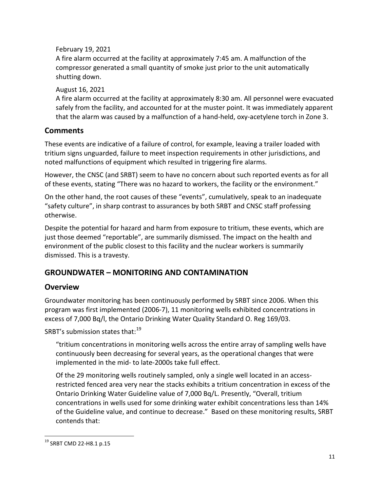February 19, 2021

A fire alarm occurred at the facility at approximately 7:45 am. A malfunction of the compressor generated a small quantity of smoke just prior to the unit automatically shutting down.

August 16, 2021

A fire alarm occurred at the facility at approximately 8:30 am. All personnel were evacuated safely from the facility, and accounted for at the muster point. It was immediately apparent that the alarm was caused by a malfunction of a hand-held, oxy-acetylene torch in Zone 3.

# <span id="page-15-0"></span>**Comments**

These events are indicative of a failure of control, for example, leaving a trailer loaded with tritium signs unguarded, failure to meet inspection requirements in other jurisdictions, and noted malfunctions of equipment which resulted in triggering fire alarms.

However, the CNSC (and SRBT) seem to have no concern about such reported events as for all of these events, stating "There was no hazard to workers, the facility or the environment."

On the other hand, the root causes of these "events", cumulatively, speak to an inadequate "safety culture", in sharp contrast to assurances by both SRBT and CNSC staff professing otherwise.

Despite the potential for hazard and harm from exposure to tritium, these events, which are just those deemed "reportable", are summarily dismissed. The impact on the health and environment of the public closest to this facility and the nuclear workers is summarily dismissed. This is a travesty.

# <span id="page-15-1"></span>**GROUNDWATER – MONITORING AND CONTAMINATION**

# <span id="page-15-2"></span>**Overview**

Groundwater monitoring has been continuously performed by SRBT since 2006. When this program was first implemented (2006-7), 11 monitoring wells exhibited concentrations in excess of 7,000 Bq/l, the Ontario Drinking Water Quality Standard O. Reg 169/03.

SRBT's submission states that:<sup>[19](#page-15-3)</sup>

"tritium concentrations in monitoring wells across the entire array of sampling wells have continuously been decreasing for several years, as the operational changes that were implemented in the mid- to late-2000s take full effect.

Of the 29 monitoring wells routinely sampled, only a single well located in an accessrestricted fenced area very near the stacks exhibits a tritium concentration in excess of the Ontario Drinking Water Guideline value of 7,000 Bq/L. Presently, "Overall, tritium concentrations in wells used for some drinking water exhibit concentrations less than 14% of the Guideline value, and continue to decrease." Based on these monitoring results, SRBT contends that:

<span id="page-15-3"></span><sup>&</sup>lt;sup>19</sup> SRBT CMD 22-H8.1 p.15  $\overline{a}$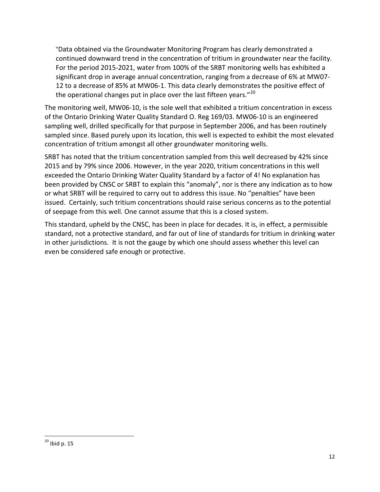"Data obtained via the Groundwater Monitoring Program has clearly demonstrated a continued downward trend in the concentration of tritium in groundwater near the facility. For the period 2015-2021, water from 100% of the SRBT monitoring wells has exhibited a significant drop in average annual concentration, ranging from a decrease of 6% at MW07- 12 to a decrease of 85% at MW06-1. This data clearly demonstrates the positive effect of the operational changes put in place over the last fifteen years." $^{20}$  $^{20}$  $^{20}$ 

The monitoring well, MW06-10, is the sole well that exhibited a tritium concentration in excess of the Ontario Drinking Water Quality Standard O. Reg 169/03. MW06-10 is an engineered sampling well, drilled specifically for that purpose in September 2006, and has been routinely sampled since. Based purely upon its location, this well is expected to exhibit the most elevated concentration of tritium amongst all other groundwater monitoring wells.

SRBT has noted that the tritium concentration sampled from this well decreased by 42% since 2015 and by 79% since 2006. However, in the year 2020, tritium concentrations in this well exceeded the Ontario Drinking Water Quality Standard by a factor of 4! No explanation has been provided by CNSC or SRBT to explain this "anomaly", nor is there any indication as to how or what SRBT will be required to carry out to address this issue. No "penalties" have been issued. Certainly, such tritium concentrations should raise serious concerns as to the potential of seepage from this well. One cannot assume that this is a closed system.

This standard, upheld by the CNSC, has been in place for decades. It is, in effect, a permissible standard, not a protective standard, and far out of line of standards for tritium in drinking water in other jurisdictions. It is not the gauge by which one should assess whether this level can even be considered safe enough or protective.

<span id="page-16-0"></span> $^{20}$  Ibid p. 15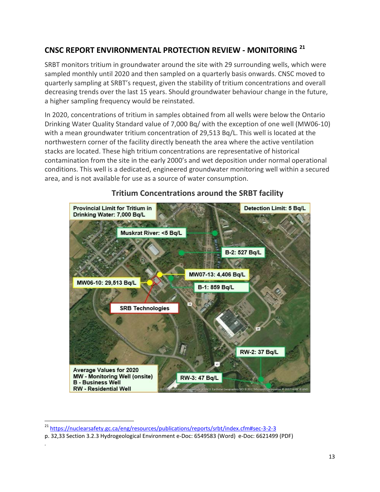# <span id="page-17-0"></span>**CNSC REPORT ENVIRONMENTAL PROTECTION REVIEW - MONITORING [21](#page-17-1)**

SRBT monitors tritium in groundwater around the site with 29 surrounding wells, which were sampled monthly until 2020 and then sampled on a quarterly basis onwards. CNSC moved to quarterly sampling at SRBT's request, given the stability of tritium concentrations and overall decreasing trends over the last 15 years. Should groundwater behaviour change in the future, a higher sampling frequency would be reinstated.

In 2020, concentrations of tritium in samples obtained from all wells were below the Ontario Drinking Water Quality Standard value of 7,000 Bq/ with the exception of one well (MW06-10) with a mean groundwater tritium concentration of 29,513 Bq/L. This well is located at the northwestern corner of the facility directly beneath the area where the active ventilation stacks are located. These high tritium concentrations are representative of historical contamination from the site in the early 2000's and wet deposition under normal operational conditions. This well is a dedicated, engineered groundwater monitoring well within a secured area, and is not available for use as a source of water consumption.



# **Tritium Concentrations around the SRBT facility**

*.*

<span id="page-17-1"></span><sup>&</sup>lt;sup>21</sup> [https://nuclearsafety.gc.ca/eng/resources/publications/reports/srbt/index.cfm#sec-3-2-3](https://nuclearsafety.gc.ca/eng/resources/publications/reports/srbt/index.cfm%23sec-3-2-3)

p. 32,33 Section 3.2.3 Hydrogeological Environment e-Doc: 6549583 (Word) e-Doc: 6621499 (PDF)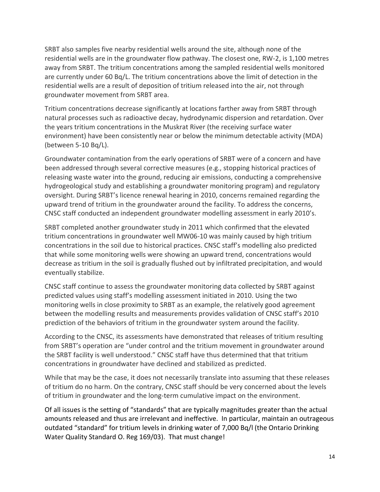SRBT also samples five nearby residential wells around the site, although none of the residential wells are in the groundwater flow pathway. The closest one, RW-2, is 1,100 metres away from SRBT. The tritium concentrations among the sampled residential wells monitored are currently under 60 Bq/L. The tritium concentrations above the limit of detection in the residential wells are a result of deposition of tritium released into the air, not through groundwater movement from SRBT area.

Tritium concentrations decrease significantly at locations farther away from SRBT through natural processes such as radioactive decay, hydrodynamic dispersion and retardation. Over the years tritium concentrations in the Muskrat River (the receiving surface water environment) have been consistently near or below the minimum detectable activity (MDA) (between 5-10 Bq/L).

Groundwater contamination from the early operations of SRBT were of a concern and have been addressed through several corrective measures (e.g., stopping historical practices of releasing waste water into the ground, reducing air emissions, conducting a comprehensive hydrogeological study and establishing a groundwater monitoring program) and regulatory oversight. During SRBT's licence renewal hearing in 2010, concerns remained regarding the upward trend of tritium in the groundwater around the facility. To address the concerns, CNSC staff conducted an independent groundwater modelling assessment in early 2010's.

SRBT completed another groundwater study in 2011 which confirmed that the elevated tritium concentrations in groundwater well MW06-10 was mainly caused by high tritium concentrations in the soil due to historical practices. CNSC staff's modelling also predicted that while some monitoring wells were showing an upward trend, concentrations would decrease as tritium in the soil is gradually flushed out by infiltrated precipitation, and would eventually stabilize.

CNSC staff continue to assess the groundwater monitoring data collected by SRBT against predicted values using staff's modelling assessment initiated in 2010. Using the two monitoring wells in close proximity to SRBT as an example, the relatively good agreement between the modelling results and measurements provides validation of CNSC staff's 2010 prediction of the behaviors of tritium in the groundwater system around the facility.

According to the CNSC, its assessments have demonstrated that releases of tritium resulting from SRBT's operation are "under control and the tritium movement in groundwater around the SRBT facility is well understood." CNSC staff have thus determined that that tritium concentrations in groundwater have declined and stabilized as predicted.

While that may be the case, it does not necessarily translate into assuming that these releases of tritium do no harm. On the contrary, CNSC staff should be very concerned about the levels of tritium in groundwater and the long-term cumulative impact on the environment.

Of all issues is the setting of "standards" that are typically magnitudes greater than the actual amounts released and thus are irrelevant and ineffective. In particular, maintain an outrageous outdated "standard" for tritium levels in drinking water of 7,000 Bq/l (the Ontario Drinking Water Quality Standard O. Reg 169/03). That must change!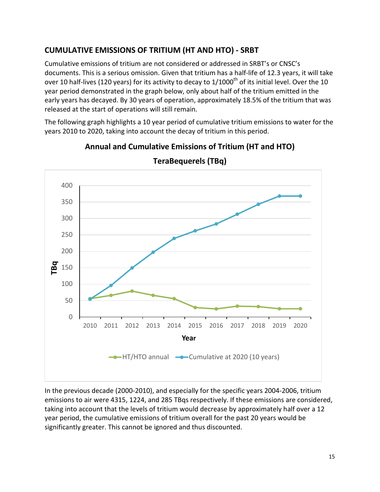# <span id="page-19-0"></span>**CUMULATIVE EMISSIONS OF TRITIUM (HT AND HTO) - SRBT**

Cumulative emissions of tritium are not considered or addressed in SRBT's or CNSC's documents. This is a serious omission. Given that tritium has a half-life of 12.3 years, it will take over 10 half-lives (120 years) for its activity to decay to  $1/1000$ <sup>th</sup> of its initial level. Over the 10 year period demonstrated in the graph below, only about half of the tritium emitted in the early years has decayed. By 30 years of operation, approximately 18.5% of the tritium that was released at the start of operations will still remain.

The following graph highlights a 10 year period of cumulative tritium emissions to water for the years 2010 to 2020, taking into account the decay of tritium in this period.



**Annual and Cumulative Emissions of Tritium (HT and HTO)** 

**TeraBequerels (TBq)**

In the previous decade (2000-2010), and especially for the specific years 2004-2006, tritium

15

emissions to air were 4315, 1224, and 285 TBqs respectively. If these emissions are considered, taking into account that the levels of tritium would decrease by approximately half over a 12 year period, the cumulative emissions of tritium overall for the past 20 years would be significantly greater. This cannot be ignored and thus discounted.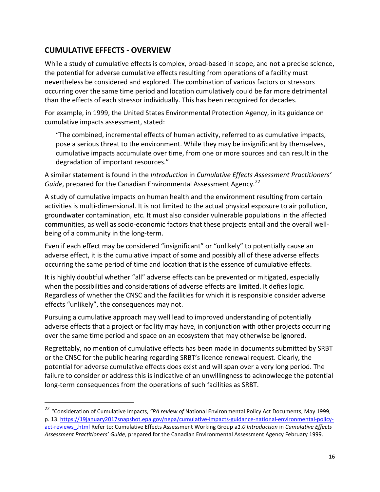# <span id="page-20-0"></span>**CUMULATIVE EFFECTS - OVERVIEW**

 $\overline{a}$ 

While a study of cumulative effects is complex, broad-based in scope, and not a precise science, the potential for adverse cumulative effects resulting from operations of a facility must nevertheless be considered and explored. The combination of various factors or stressors occurring over the same time period and location cumulatively could be far more detrimental than the effects of each stressor individually. This has been recognized for decades.

For example, in 1999, the United States Environmental Protection Agency, in its guidance on cumulative impacts assessment, stated:

"The combined, incremental effects of human activity, referred to as cumulative impacts, pose a serious threat to the environment. While they may be insignificant by themselves, cumulative impacts accumulate over time, from one or more sources and can result in the degradation of important resources."

A similar statement is found in the *Introduction* in *Cumulative Effects Assessment Practitioners' Guide*, prepared for the Canadian Environmental Assessment Agency.<sup>[22](#page-20-1)</sup>

A study of cumulative impacts on human health and the environment resulting from certain activities is multi-dimensional. It is not limited to the actual physical exposure to air pollution, groundwater contamination, etc. It must also consider vulnerable populations in the affected communities, as well as socio-economic factors that these projects entail and the overall wellbeing of a community in the long-term.

Even if each effect may be considered "insignificant" or "unlikely" to potentially cause an adverse effect, it is the cumulative impact of some and possibly all of these adverse effects occurring the same period of time and location that is the essence of cumulative effects.

It is highly doubtful whether "all" adverse effects can be prevented or mitigated, especially when the possibilities and considerations of adverse effects are limited. It defies logic. Regardless of whether the CNSC and the facilities for which it is responsible consider adverse effects "unlikely", the consequences may not.

Pursuing a cumulative approach may well lead to improved understanding of potentially adverse effects that a project or facility may have, in conjunction with other projects occurring over the same time period and space on an ecosystem that may otherwise be ignored.

Regrettably, no mention of cumulative effects has been made in documents submitted by SRBT or the CNSC for the public hearing regarding SRBT's licence renewal request. Clearly, the potential for adverse cumulative effects does exist and will span over a very long period. The failure to consider or address this is indicative of an unwillingness to acknowledge the potential long-term consequences from the operations of such facilities as SRBT.

<span id="page-20-1"></span><sup>22</sup> "Consideration of Cumulative Impacts, *"PA review of* National Environmental Policy Act Documents, May 1999, p. 13. [https://19january2017snapshot.epa.gov/nepa/cumulative-impacts-guidance-national-environmental-policy](https://19january2017snapshot.epa.gov/nepa/cumulative-impacts-guidance-national-environmental-policy-act-reviews_.html)[act-reviews\\_.html](https://19january2017snapshot.epa.gov/nepa/cumulative-impacts-guidance-national-environmental-policy-act-reviews_.html) Refer to: Cumulative Effects Assessment Working Group a*1.0 Introduction* in *Cumulative Effects Assessment Practitioners' Guide*, prepared for the Canadian Environmental Assessment Agency February 1999.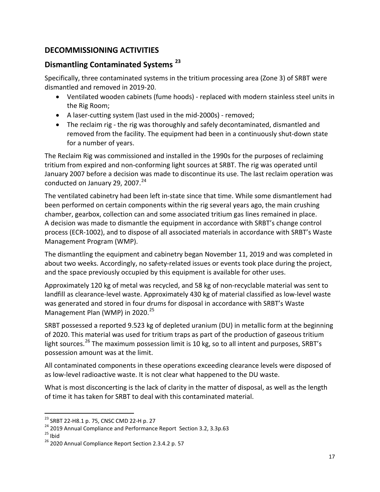# <span id="page-21-0"></span>**DECOMMISSIONING ACTIVITIES**

### <span id="page-21-1"></span>**Dismantling Contaminated Systems [23](#page-21-2)**

Specifically, three contaminated systems in the tritium processing area (Zone 3) of SRBT were dismantled and removed in 2019-20.

- Ventilated wooden cabinets (fume hoods) replaced with modern stainless steel units in the Rig Room;
- A laser-cutting system (last used in the mid-2000s) removed;
- The reclaim rig the rig was thoroughly and safely decontaminated, dismantled and removed from the facility. The equipment had been in a continuously shut-down state for a number of years.

The Reclaim Rig was commissioned and installed in the 1990s for the purposes of reclaiming tritium from expired and non-conforming light sources at SRBT. The rig was operated until January 2007 before a decision was made to discontinue its use. The last reclaim operation was conducted on January 29, 2007. $^{24}$  $^{24}$  $^{24}$ 

The ventilated cabinetry had been left in-state since that time. While some dismantlement had been performed on certain components within the rig several years ago, the main crushing chamber, gearbox, collection can and some associated tritium gas lines remained in place. A decision was made to dismantle the equipment in accordance with SRBT's change control process (ECR-1002), and to dispose of all associated materials in accordance with SRBT's Waste Management Program (WMP).

The dismantling the equipment and cabinetry began November 11, 2019 and was completed in about two weeks. Accordingly, no safety-related issues or events took place during the project, and the space previously occupied by this equipment is available for other uses.

Approximately 120 kg of metal was recycled, and 58 kg of non-recyclable material was sent to landfill as clearance-level waste. Approximately 430 kg of material classified as low-level waste was generated and stored in four drums for disposal in accordance with SRBT's Waste Management Plan (WMP) in 2020.<sup>[25](#page-21-4)</sup>

SRBT possessed a reported 9.523 kg of depleted uranium (DU) in metallic form at the beginning of 2020. This material was used for tritium traps as part of the production of gaseous tritium light sources.<sup>[26](#page-21-5)</sup> The maximum possession limit is 10 kg, so to all intent and purposes, SRBT's possession amount was at the limit.

All contaminated components in these operations exceeding clearance levels were disposed of as low-level radioactive waste. It is not clear what happened to the DU waste.

What is most disconcerting is the lack of clarity in the matter of disposal, as well as the length of time it has taken for SRBT to deal with this contaminated material.

<span id="page-21-4"></span>

<span id="page-21-3"></span><span id="page-21-2"></span><sup>&</sup>lt;sup>23</sup> SRBT 22-H8.1 p. 75, CNSC CMD 22-H p. 27<br><sup>24</sup> 2019 Annual Compliance and Performance Report Section 3.2, 3.3p.63<br><sup>25</sup> Ibid <sup>26</sup> 2020 Annual Compliance Report Section 2.3.4.2 p. 57

<span id="page-21-5"></span>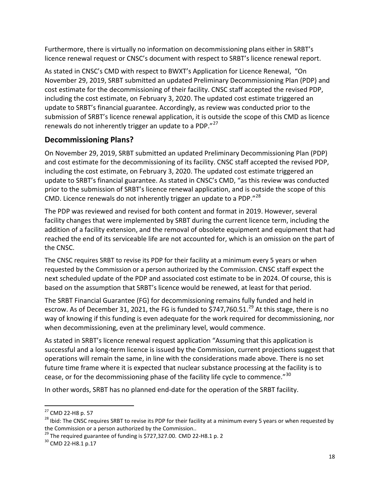Furthermore, there is virtually no information on decommissioning plans either in SRBT's licence renewal request or CNSC's document with respect to SRBT's licence renewal report.

As stated in CNSC's CMD with respect to BWXT's Application for Licence Renewal, "On November 29, 2019, SRBT submitted an updated Preliminary Decommissioning Plan (PDP) and cost estimate for the decommissioning of their facility. CNSC staff accepted the revised PDP, including the cost estimate, on February 3, 2020. The updated cost estimate triggered an update to SRBT's financial guarantee. Accordingly, as review was conducted prior to the submission of SRBT's licence renewal application, it is outside the scope of this CMD as licence renewals do not inherently trigger an update to a PDP."<sup>[27](#page-22-1)</sup>

### <span id="page-22-0"></span>**Decommissioning Plans?**

On November 29, 2019, SRBT submitted an updated Preliminary Decommissioning Plan (PDP) and cost estimate for the decommissioning of its facility. CNSC staff accepted the revised PDP, including the cost estimate, on February 3, 2020. The updated cost estimate triggered an update to SRBT's financial guarantee. As stated in CNSC's CMD, "as this review was conducted prior to the submission of SRBT's licence renewal application, and is outside the scope of this CMD. Licence renewals do not inherently trigger an update to a PDP."<sup>[28](#page-22-2)</sup>

The PDP was reviewed and revised for both content and format in 2019. However, several facility changes that were implemented by SRBT during the current licence term, including the addition of a facility extension, and the removal of obsolete equipment and equipment that had reached the end of its serviceable life are not accounted for, which is an omission on the part of the CNSC.

The CNSC requires SRBT to revise its PDP for their facility at a minimum every 5 years or when requested by the Commission or a person authorized by the Commission. CNSC staff expect the next scheduled update of the PDP and associated cost estimate to be in 2024. Of course, this is based on the assumption that SRBT's licence would be renewed, at least for that period.

The SRBT Financial Guarantee (FG) for decommissioning remains fully funded and held in escrow. As of December 31, 2021, the FG is funded to \$747,760.51. $^{29}$  $^{29}$  $^{29}$  At this stage, there is no way of knowing if this funding is even adequate for the work required for decommissioning, nor when decommissioning, even at the preliminary level, would commence.

As stated in SRBT's licence renewal request application "Assuming that this application is successful and a long-term licence is issued by the Commission, current projections suggest that operations will remain the same, in line with the considerations made above. There is no set future time frame where it is expected that nuclear substance processing at the facility is to cease, or for the decommissioning phase of the facility life cycle to commence."<sup>[30](#page-22-4)</sup>

In other words, SRBT has no planned end-date for the operation of the SRBT facility.

<span id="page-22-1"></span><sup>&</sup>lt;sup>27</sup> CMD 22-H8 p. 57

<span id="page-22-2"></span><sup>&</sup>lt;sup>28</sup> Ibid: The CNSC requires SRBT to revise its PDP for their facility at a minimum every 5 years or when requested by the Commission or a person authorized by the Commission.

<span id="page-22-3"></span><sup>&</sup>lt;sup>29</sup> The required guarantee of funding is \$727,327.00. CMD 22-H8.1 p. 2<br><sup>30</sup> CMD 22-H8.1 p.17

<span id="page-22-4"></span>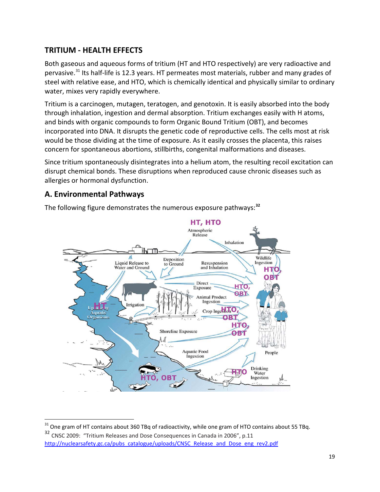# <span id="page-23-0"></span>**TRITIUM - HEALTH EFFECTS**

Both gaseous and aqueous forms of tritium (HT and HTO respectively) are very radioactive and pervasive.[31](#page-23-2) Its half-life is 12.3 years. HT permeates most materials, rubber and many grades of steel with relative ease, and HTO, which is chemically identical and physically similar to ordinary water, mixes very rapidly everywhere.

Tritium is a carcinogen, mutagen, teratogen, and genotoxin. It is easily absorbed into the body through inhalation, ingestion and dermal absorption. Tritium exchanges easily with H atoms, and binds with organic compounds to form Organic Bound Tritium (OBT), and becomes incorporated into DNA. It disrupts the genetic code of reproductive cells. The cells most at risk would be those dividing at the time of exposure. As it easily crosses the placenta, this raises concern for spontaneous abortions, stillbirths, congenital malformations and diseases.

Since tritium spontaneously disintegrates into a helium atom, the resulting recoil excitation can disrupt chemical bonds. These disruptions when reproduced cause chronic diseases such as allergies or hormonal dysfunction.

### <span id="page-23-1"></span>**A. Environmental Pathways**

The following figure demonstrates the numerous exposure pathways:**[32](#page-23-3)**



 $31$  One gram of HT contains about 360 TBq of radioactivity, while one gram of HTO contains about 55 TBq.  $\overline{a}$ 

<span id="page-23-3"></span><span id="page-23-2"></span><sup>32</sup> CNSC 2009: "Tritium Releases and Dose Consequences in Canada in 2006", p.11 [http://nuclearsafety.gc.ca/pubs\\_catalogue/uploads/CNSC\\_Release\\_and\\_Dose\\_eng\\_rev2.pdf](http://nuclearsafety.gc.ca/pubs_catalogue/uploads/CNSC_Release_and_Dose_eng_rev2.pdf)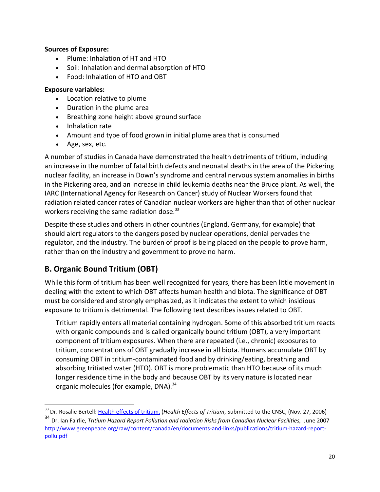#### **Sources of Exposure:**

- Plume: Inhalation of HT and HTO
- Soil: Inhalation and dermal absorption of HTO
- Food: Inhalation of HTO and OBT

#### **Exposure variables:**

- Location relative to plume
- Duration in the plume area
- Breathing zone height above ground surface
- Inhalation rate
- Amount and type of food grown in initial plume area that is consumed
- Age, sex, etc.

A number of studies in Canada have demonstrated the health detriments of tritium, including an increase in the number of fatal birth defects and neonatal deaths in the area of the Pickering nuclear facility, an increase in Down's syndrome and central nervous system anomalies in births in the Pickering area, and an increase in child leukemia deaths near the Bruce plant. As well, the IARC (International Agency for Research on Cancer) study of Nuclear Workers found that radiation related cancer rates of Canadian nuclear workers are higher than that of other nuclear workers receiving the same radiation dose.<sup>[33](#page-24-1)</sup>

Despite these studies and others in other countries (England, Germany, for example) that should alert regulators to the dangers posed by nuclear operations, denial pervades the regulator, and the industry. The burden of proof is being placed on the people to prove harm, rather than on the industry and government to prove no harm.

# <span id="page-24-0"></span>**B. Organic Bound Tritium (OBT)**

 $\overline{a}$ 

While this form of tritium has been well recognized for years, there has been little movement in dealing with the extent to which OBT affects human health and biota. The significance of OBT must be considered and strongly emphasized, as it indicates the extent to which insidious exposure to tritium is detrimental. The following text describes issues related to OBT.

Tritium rapidly enters all material containing hydrogen. Some of this absorbed tritium reacts with organic compounds and is called organically bound tritium (OBT), a very important component of tritium exposures. When there are repeated (i.e., chronic) exposures to tritium, concentrations of OBT gradually increase in all biota. Humans accumulate OBT by consuming OBT in tritium-contaminated food and by drinking/eating, breathing and absorbing tritiated water (HTO). OBT is more problematic than HTO because of its much longer residence time in the body and because OBT by its very nature is located near organic molecules (for example, DNA).<sup>[34](#page-24-2)</sup>

<span id="page-24-2"></span><span id="page-24-1"></span><sup>&</sup>lt;sup>33</sup> Dr. Rosalie Bertell: <u>Health effects of tritium.</u> (*Health Effects of Tritium,* Submitted to the CNSC, (Nov. 27, 2006) <sup>34</sup> Dr. Ian Fairlie, *Tritium Hazard Report Pollution and radiation Risks from Canadian Nuclear Facilities,* June 2007 [http://www.greenpeace.org/raw/content/canada/en/documents-and-links/publications/tritium-hazard-report](http://www.greenpeace.org/raw/content/canada/en/documents-and-links/publications/tritium-hazard-report-pollu.pdf)[pollu.pdf](http://www.greenpeace.org/raw/content/canada/en/documents-and-links/publications/tritium-hazard-report-pollu.pdf)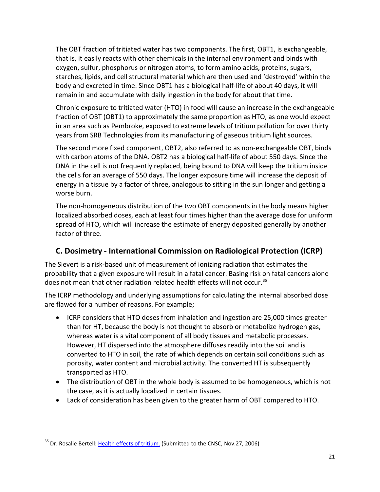The OBT fraction of tritiated water has two components. The first, OBT1, is exchangeable, that is, it easily reacts with other chemicals in the internal environment and binds with oxygen, sulfur, phosphorus or nitrogen atoms, to form amino acids, proteins, sugars, starches, lipids, and cell structural material which are then used and 'destroyed' within the body and excreted in time. Since OBT1 has a biological half-life of about 40 days, it will remain in and accumulate with daily ingestion in the body for about that time.

Chronic exposure to tritiated water (HTO) in food will cause an increase in the exchangeable fraction of OBT (OBT1) to approximately the same proportion as HTO, as one would expect in an area such as Pembroke, exposed to extreme levels of tritium pollution for over thirty years from SRB Technologies from its manufacturing of gaseous tritium light sources.

The second more fixed component, OBT2, also referred to as non-exchangeable OBT, binds with carbon atoms of the DNA. OBT2 has a biological half-life of about 550 days. Since the DNA in the cell is not frequently replaced, being bound to DNA will keep the tritium inside the cells for an average of 550 days. The longer exposure time will increase the deposit of energy in a tissue by a factor of three, analogous to sitting in the sun longer and getting a worse burn.

The non-homogeneous distribution of the two OBT components in the body means higher localized absorbed doses, each at least four times higher than the average dose for uniform spread of HTO, which will increase the estimate of energy deposited generally by another factor of three.

# <span id="page-25-0"></span>**C. Dosimetry - International Commission on Radiological Protection (ICRP)**

The Sievert is a risk-based unit of measurement of ionizing radiation that estimates the probability that a given exposure will result in a fatal cancer. Basing risk on fatal cancers alone does not mean that other radiation related health effects will not occur.<sup>[35](#page-25-1)</sup>

The ICRP methodology and underlying assumptions for calculating the internal absorbed dose are flawed for a number of reasons. For example;

- ICRP considers that HTO doses from inhalation and ingestion are 25,000 times greater than for HT, because the body is not thought to absorb or metabolize hydrogen gas, whereas water is a vital component of all body tissues and metabolic processes. However, HT dispersed into the atmosphere diffuses readily into the soil and is converted to HTO in soil, the rate of which depends on certain soil conditions such as porosity, water content and microbial activity. The converted HT is subsequently transported as HTO.
- The distribution of OBT in the whole body is assumed to be homogeneous, which is not the case, as it is actually localized in certain tissues.
- Lack of consideration has been given to the greater harm of OBT compared to HTO.

<span id="page-25-1"></span><sup>&</sup>lt;sup>35</sup> Dr. Rosalie Bertell: [Health effects of tritium.](http://www.tapcanada.org/en/wp-content/uploads/2009/03/health-effects-of-tritium.pdf) (Submitted to the CNSC, Nov.27, 2006)  $\overline{a}$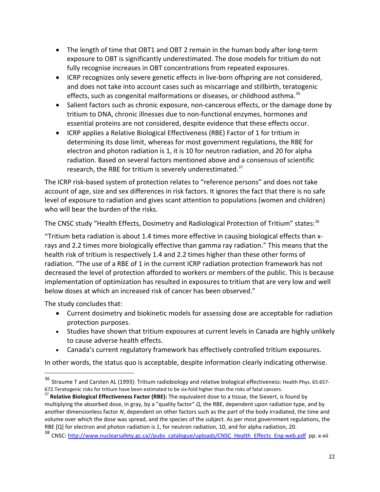- The length of time that OBT1 and OBT 2 remain in the human body after long-term exposure to OBT is significantly underestimated. The dose models for tritium do not fully recognise increases in OBT concentrations from repeated exposures.
- ICRP recognizes only severe genetic effects in live-born offspring are not considered, and does not take into account cases such as miscarriage and stillbirth, teratogenic effects, such as congenital malformations or diseases, or childhood asthma.<sup>[36](#page-26-0)</sup>
- Salient factors such as chronic exposure, non-cancerous effects, or the damage done by tritium to DNA, chronic illnesses due to non-functional enzymes, hormones and essential proteins are not considered, despite evidence that these effects occur.
- ICRP applies a Relative Biological Effectiveness (RBE) Factor of 1 for tritium in determining its dose limit, whereas for most government regulations, the RBE for electron and photon radiation is 1, it is 10 for neutron radiation, and 20 for alpha radiation. Based on several factors mentioned above and a consensus of scientific research, the RBE for tritium is severely underestimated.<sup>[37](#page-26-1)</sup>

The ICRP risk-based system of protection relates to "reference persons" and does not take account of age, size and sex differences in risk factors. It ignores the fact that there is no safe level of exposure to radiation and gives scant attention to populations (women and children) who will bear the burden of the risks.

The CNSC study "Health Effects, Dosimetry and Radiological Protection of Tritium" states:<sup>[38](#page-26-2)</sup>

"Tritium beta radiation is about 1.4 times more effective in causing biological effects than xrays and 2.2 times more biologically effective than gamma ray radiation." This means that the health risk of tritium is respectively 1.4 and 2.2 times higher than these other forms of radiation. "The use of a RBE of 1 in the current ICRP radiation protection framework has not decreased the level of protection afforded to workers or members of the public. This is because implementation of optimization has resulted in exposures to tritium that are very low and well below doses at which an increased risk of cancer has been observed."

The study concludes that:

 $\overline{a}$ 

- Current dosimetry and biokinetic models for assessing dose are acceptable for radiation protection purposes.
- Studies have shown that tritium exposures at current levels in Canada are highly unlikely to cause adverse health effects.
- Canada's current regulatory framework has effectively controlled tritium exposures.

In other words, the status quo is acceptable, despite information clearly indicating otherwise.

<span id="page-26-0"></span> $^{36}$  Straume T and Carsten AL (1993): Tritium radiobiology and relative biological effectiveness: Health Phys. 65:657-672.Teratogenic risks for tritium have been estimated to be six-fold higher than the risks of fatal cancers.<br><sup>37</sup> Relative Biological Effectiveness Factor (RBE): The equivalent dose to a tissue, the Sievert, is found by

<span id="page-26-1"></span>multiplying the absorbed dose, in gray, by a "quality factor" *Q*, the RBE, dependent upon radiation type, and by another dimensionless factor *N*, dependent on other factors such as the part of the body irradiated, the time and volume over which the dose was spread, and the species of the subject. As per most government regulations, the RBE [Q] for electron and photon radiation is 1, for neutron radiation, 10, and for alpha radiation, 20.

<span id="page-26-2"></span><sup>38</sup> CNSC[: http://www.nuclearsafety.gc.ca//pubs\\_catalogue/uploads/CNSC\\_Health\\_Effects\\_Eng-web.pdf](http://www.nuclearsafety.gc.ca/pubs_catalogue/uploads/CNSC_Health_Effects_Eng-web.pdf) pp. x-xii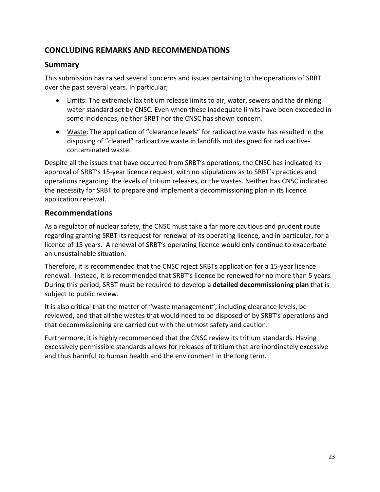# <span id="page-27-0"></span>**CONCLUDING REMARKS AND RECOMMENDATIONS**

### **Summary**

This submission has raised several concerns and issues pertaining to the operations of SRBT over the past several years. In particular;

- Limits: The extremely lax tritium release limits to air, water, sewers and the drinking water standard set by CNSC. Even when these inadequate limits have been exceeded in some incidences, neither SRBT nor the CNSC has shown concern.
- Waste: The application of "clearance levels" for radioactive waste has resulted in the disposing of "cleared" radioactive waste in landfills not designed for radioactivecontaminated waste.

Despite all the issues that have occurred from SRBT's operations, the CNSC has indicated its approval of SRBT's 15-year licence request, with no stipulations as to SRBT's practices and operations regarding the levels of tritium releases, or the wastes. Neither has CNSC indicated the necessity for SRBT to prepare and implement a decommissioning plan in its licence application renewal.

### **Recommendations**

As a regulator of nuclear safety, the CNSC must take a far more cautious and prudent route regarding granting SRBT its request for renewal of its operating licence, and in particular, for a licence of 15 years. A renewal of SRBT's operating licence would only continue to exacerbate an unsustainable situation.

Therefore, it is recommended that the CNSC reject SRBTs application for a 15-year licence renewal. Instead, it is recommended that SRBT's licence be renewed for no more than 5 years. During this period, SRBT must be required to develop a **detailed decommissioning plan** that is subject to public review.

It is also critical that the matter of "waste management", including clearance levels, be reviewed, and that all the wastes that would need to be disposed of by SRBT's operations and that decommissioning are carried out with the utmost safety and caution.

Furthermore, it is highly recommended that the CNSC review its tritium standards. Having excessively permissible standards allows for releases of tritium that are inordinately excessive and thus harmful to human health and the environment in the long term.